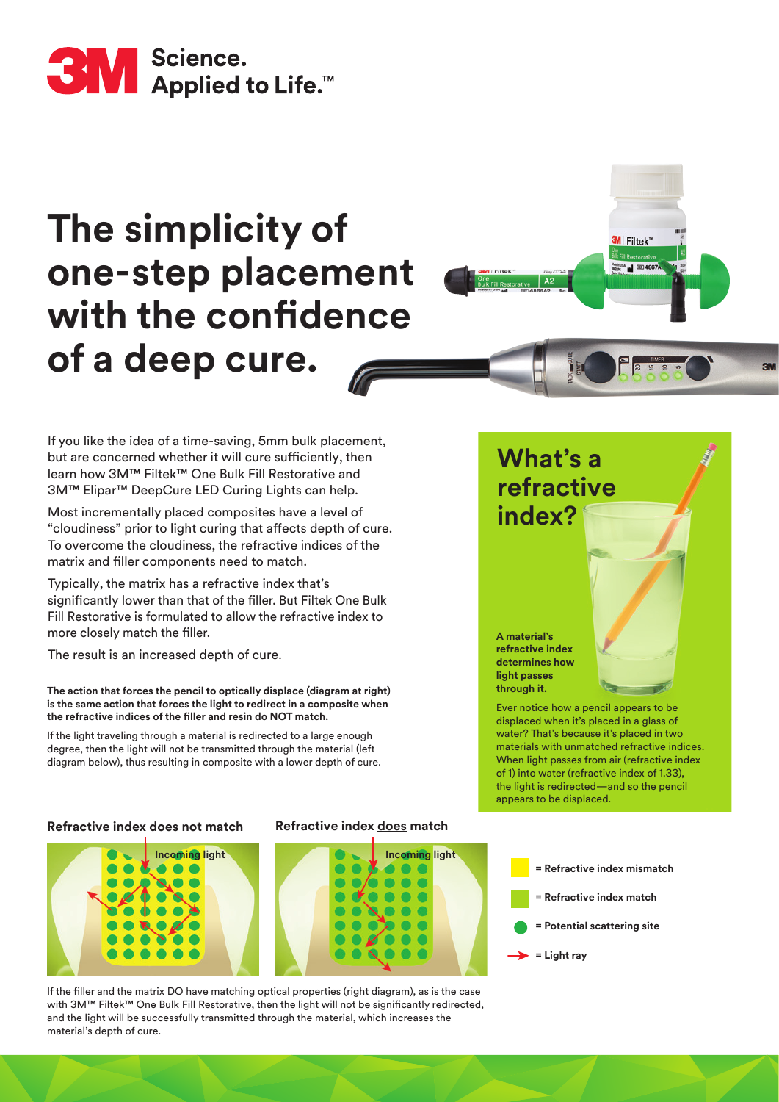

# **The simplicity of one-step placement with the confidence of a deep cure.**

If you like the idea of a time-saving, 5mm bulk placement, but are concerned whether it will cure sufficiently, then learn how 3M™ Filtek™ One Bulk Fill Restorative and 3M™ Elipar™ DeepCure LED Curing Lights can help.

Most incrementally placed composites have a level of "cloudiness" prior to light curing that affects depth of cure. To overcome the cloudiness, the refractive indices of the matrix and filler components need to match.

Typically, the matrix has a refractive index that's significantly lower than that of the filler. But Filtek One Bulk Fill Restorative is formulated to allow the refractive index to more closely match the filler.

The result is an increased depth of cure.

**The action that forces the pencil to optically displace (diagram at right) is the same action that forces the light to redirect in a composite when the refractive indices of the filler and resin do NOT match.** 

If the light traveling through a material is redirected to a large enough degree, then the light will not be transmitted through the material (left diagram below), thus resulting in composite with a lower depth of cure.

#### **Refractive index does not match Refractive index does match**





If the filler and the matrix DO have matching optical properties (right diagram), as is the case with 3M™ Filtek™ One Bulk Fill Restorative, then the light will not be significantly redirected, and the light will be successfully transmitted through the material, which increases the material's depth of cure.

### **What's a refractive index?**

**M** Filtek

**A material's refractive index determines how light passes through it.** 

Ever notice how a pencil appears to be displaced when it's placed in a glass of water? That's because it's placed in two materials with unmatched refractive indices. When light passes from air (refractive index of 1) into water (refractive index of 1.33), the light is redirected—and so the pencil appears to be displaced.